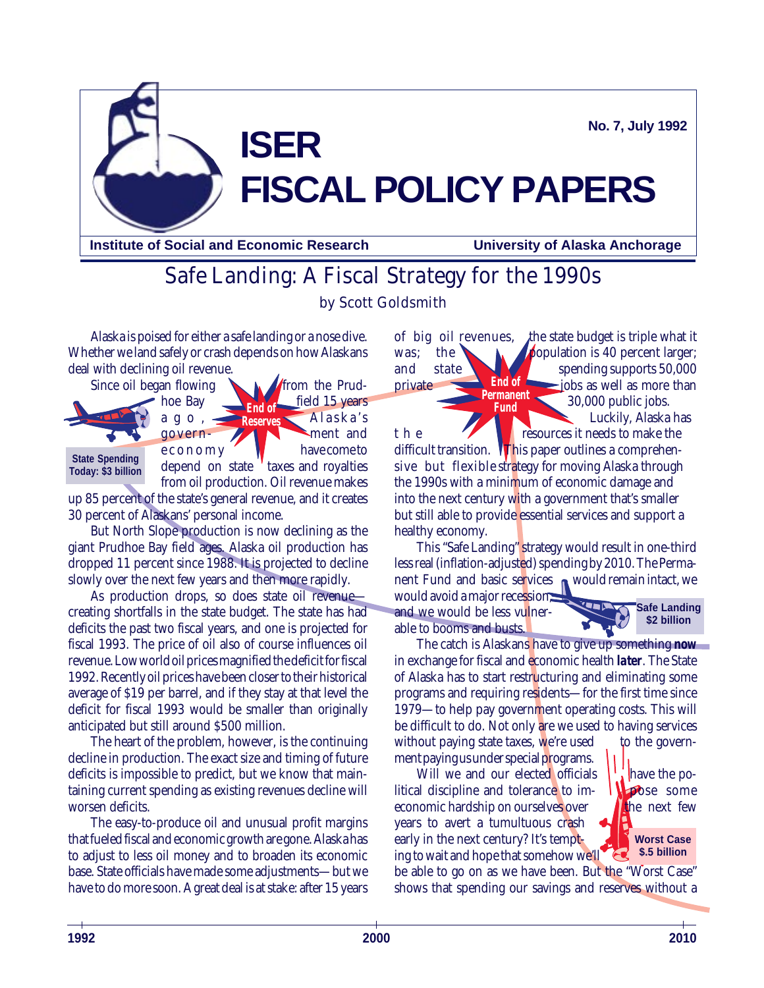**No. 7, July 1992**

# **ISER FISCAL POLICY PAPERS**

**Institute of Social and Economic Research University of Alaska Anchorage**

# Safe Landing: A Fiscal Strategy for the 1990s by Scott Goldsmith

Alaska is poised for either a safe landing or a nose dive. Whether we land safely or crash depends on how Alaskans deal with declining oil revenue.



up 85 percent of the state's general revenue, and it creates 30 percent of Alaskans' personal income.

But North Slope production is now declining as the giant Prudhoe Bay field ages. Alaska oil production has dropped 11 percent since 1988. It is projected to decline slowly over the next few years and then more rapidly.

As production drops, so does state oil revenue creating shortfalls in the state budget. The state has had deficits the past two fiscal years, and one is projected for fiscal 1993. The price of oil also of course influences oil revenue. Low world oil prices magnified the deficit for fiscal 1992. Recently oil prices have been closer to their historical average of \$19 per barrel, and if they stay at that level the deficit for fiscal 1993 would be smaller than originally anticipated but still around \$500 million.

The heart of the problem, however, is the continuing decline in production. The exact size and timing of future deficits is impossible to predict, but we know that maintaining current spending as existing revenues decline will worsen deficits.

The easy-to-produce oil and unusual profit margins that fueled fiscal and economic growth are gone. Alaska has to adjust to less oil money and to broaden its economic base. State officials have made some adjustments—but we have to do more soon. A great deal is at stake: after 15 years

**End of Permanent Fund** of big oil revenues, the state budget is triple what it was; the **population is 40 percent larger**; and state spending supports 50,000 private  $\Box$  End of  $\Box$  jobs as well as more than 30,000 public jobs. Luckily, Alaska has t h e **resources** it needs to make the difficult transition. This paper outlines a comprehensive but flexible strategy for moving Alaska through the 1990s with a minimum of economic damage and into the next century with a government that's smaller but still able to provide essential services and support a healthy economy.

This "Safe Landing" strategy would result in one-third less real (inflation-adjusted) spending by 2010. The Permanent Fund and basic services would remain intact, we would avoid a major recession,

and we would be less vulnerable to booms and busts.



The catch is Alaskans have to give up something *now* in exchange for fiscal and economic health *later*. The State of Alaska has to start restructuring and eliminating some programs and requiring residents—for the first time since 1979—to help pay government operating costs. This will be difficult to do. Not only are we used to having services without paying state taxes, we're used to the government paying us under special programs.

Will we and our elected officials  $\frac{1}{2}$  have the political discipline and tolerance to im-  $\Box$  pose some economic hardship on ourselves over  $\blacksquare$  the next few years to avert a tumultuous crash early in the next century? It's tempting to wait and hope that somehow we'll

be able to go on as we have been. But the "Worst Case" shows that spending our savings and reserves without a

**Worst Case \$.5 billion**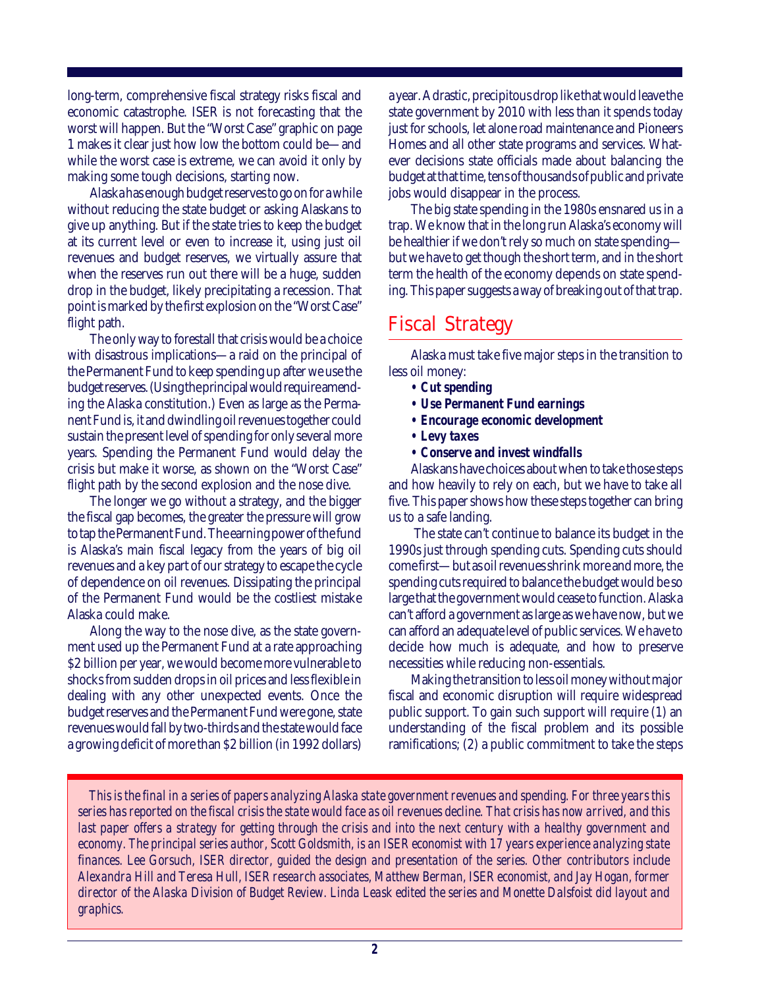long-term, comprehensive fiscal strategy risks fiscal and economic catastrophe. ISER is not forecasting that the worst will happen. But the "Worst Case" graphic on page 1 makes it clear just how low the bottom could be—and while the worst case is extreme, we can avoid it only by making some tough decisions, starting now.

Alaska has enough budget reserves to go on for a while without reducing the state budget or asking Alaskans to give up anything. But if the state tries to keep the budget at its current level or even to increase it, using just oil revenues and budget reserves, we virtually assure that when the reserves run out there will be a huge, sudden drop in the budget, likely precipitating a recession. That point is marked by the first explosion on the "Worst Case" flight path.

The only way to forestall that crisis would be a choice with disastrous implications—a raid on the principal of the Permanent Fund to keep spending up after we use the budget reserves. (Using the principal would require amending the Alaska constitution.) Even as large as the Permanent Fund is, it and dwindling oil revenues together could sustain the present level of spending for only several more years. Spending the Permanent Fund would delay the crisis but make it worse, as shown on the "Worst Case" flight path by the second explosion and the nose dive.

The longer we go without a strategy, and the bigger the fiscal gap becomes, the greater the pressure will grow to tap the Permanent Fund. The earning power of the fund is Alaska's main fiscal legacy from the years of big oil revenues and a key part of our strategy to escape the cycle of dependence on oil revenues. Dissipating the principal of the Permanent Fund would be the costliest mistake Alaska could make.

Along the way to the nose dive, as the state government used up the Permanent Fund at a rate approaching \$2 billion per year, we would become more vulnerable to shocks from sudden drops in oil prices and less flexible in dealing with any other unexpected events. Once the budget reserves and the Permanent Fund were gone, state revenues would fall by two-thirds and the state would face a growing deficit of more than \$2 billion (in 1992 dollars)

a year. A drastic, precipitous drop like that would leave the state government by 2010 with less than it spends today just for schools, let alone road maintenance and Pioneers Homes and all other state programs and services. Whatever decisions state officials made about balancing the budget at that time, tens of thousands of public and private jobs would disappear in the process.

The big state spending in the 1980s ensnared us in a trap. We know that in the long run Alaska's economy will be healthier if we don't rely so much on state spending but we have to get though the short term, and in the short term the health of the economy depends on state spending. This paper suggests a way of breaking out of that trap.

### Fiscal Strategy

Alaska must take five major steps in the transition to less oil money:

- *Cut spending*
- *Use Permanent Fund earnings*
- *Encourage economic development*
- *Levy taxes*
- *Conserve and invest windfalls*

Alaskans have choices about when to take those steps and how heavily to rely on each, but we have to take all five. This paper shows how these steps together can bring us to a safe landing.

 The state can't continue to balance its budget in the 1990s just through spending cuts. Spending cuts should come first—but as oil revenues shrink more and more, the spending cuts required to balance the budget would be so large that the government would cease to function. Alaska can't afford a government as large as we have now, but we can afford an adequate level of public services. We have to decide how much is adequate, and how to preserve necessities while reducing non-essentials.

Making the transition to less oil money without major fiscal and economic disruption will require widespread public support. To gain such support will require (1) an understanding of the fiscal problem and its possible ramifications; (2) a public commitment to take the steps

*This is the final in a series of papers analyzing Alaska state government revenues and spending. For three years this series has reported on the fiscal crisis the state would face as oil revenues decline. That crisis has now arrived, and this last paper offers a strategy for getting through the crisis and into the next century with a healthy government and economy. The principal series author, Scott Goldsmith, is an ISER economist with 17 years experience analyzing state finances. Lee Gorsuch, ISER director, guided the design and presentation of the series. Other contributors include Alexandra Hill and Teresa Hull, ISER research associates, Matthew Berman, ISER economist, and Jay Hogan, former director of the Alaska Division of Budget Review. Linda Leask edited the series and Monette Dalsfoist did layout and graphics.*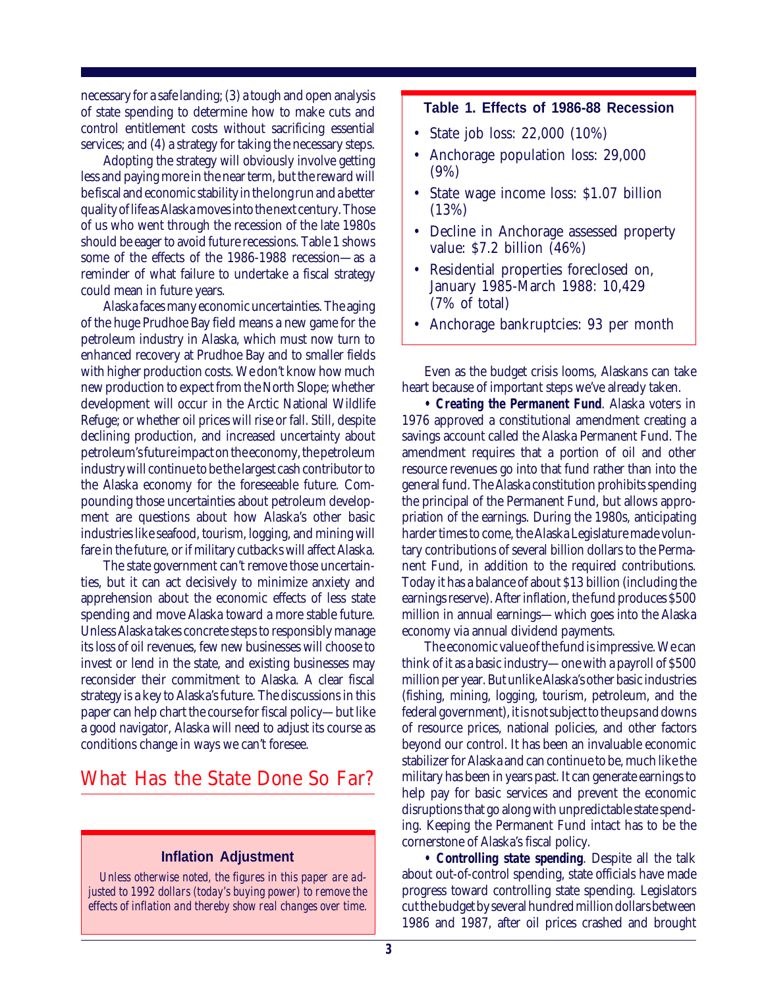necessary for a safe landing; (3) a tough and open analysis of state spending to determine how to make cuts and control entitlement costs without sacrificing essential services; and  $(4)$  a strategy for taking the necessary steps.

Adopting the strategy will obviously involve getting less and paying more in the near term, but the reward will be fiscal and economic stability in the long run and a better quality of life as Alaska moves into the next century. Those of us who went through the recession of the late 1980s should be eager to avoid future recessions. Table 1 shows some of the effects of the 1986-1988 recession—as a reminder of what failure to undertake a fiscal strategy could mean in future years.

Alaska faces many economic uncertainties. The aging of the huge Prudhoe Bay field means a new game for the petroleum industry in Alaska, which must now turn to enhanced recovery at Prudhoe Bay and to smaller fields with higher production costs. We don't know how much new production to expect from the North Slope; whether development will occur in the Arctic National Wildlife Refuge; or whether oil prices will rise or fall. Still, despite declining production, and increased uncertainty about petroleum's future impact on the economy, the petroleum industry will continue to be the largest cash contributor to the Alaska economy for the foreseeable future. Compounding those uncertainties about petroleum development are questions about how Alaska's other basic industries like seafood, tourism, logging, and mining will fare in the future, or if military cutbacks will affect Alaska.

The state government can't remove those uncertainties, but it can act decisively to minimize anxiety and apprehension about the economic effects of less state spending and move Alaska toward a more stable future. Unless Alaska takes concrete steps to responsibly manage its loss of oil revenues, few new businesses will choose to invest or lend in the state, and existing businesses may reconsider their commitment to Alaska. A clear fiscal strategy is a key to Alaska's future. The discussions in this paper can help chart the course for fiscal policy—but like a good navigator, Alaska will need to adjust its course as conditions change in ways we can't foresee.

### What Has the State Done So Far?

#### **Inflation Adjustment**

*Unless otherwise noted, the figures in this paper are adjusted to 1992 dollars (today's buying power) to remove the effects of inflation and thereby show real changes over time.*

#### **Table 1. Effects of 1986-88 Recession**

- State job loss: 22,000 (10%)
- Anchorage population loss: 29,000 (9%)
- State wage income loss: \$1.07 billion (13%)
- Decline in Anchorage assessed property value: \$7.2 billion (46%)
- Residential properties foreclosed on, January 1985-March 1988: 10,429 (7% of total)
- Anchorage bankruptcies: 93 per month

Even as the budget crisis looms, Alaskans can take heart because of important steps we've already taken.

*• Creating the Permanent Fund*. Alaska voters in 1976 approved a constitutional amendment creating a savings account called the Alaska Permanent Fund. The amendment requires that a portion of oil and other resource revenues go into that fund rather than into the general fund. The Alaska constitution prohibits spending the principal of the Permanent Fund, but allows appropriation of the earnings. During the 1980s, anticipating harder times to come, the Alaska Legislature made voluntary contributions of several billion dollars to the Permanent Fund, in addition to the required contributions. Today it has a balance of about \$13 billion (including the earnings reserve). After inflation, the fund produces \$500 million in annual earnings—which goes into the Alaska economy via annual dividend payments.

The economic value of the fund is impressive. We can think of it as a basic industry—one with a payroll of \$500 million per year. But unlike Alaska's other basic industries (fishing, mining, logging, tourism, petroleum, and the federal government), it is not subject to the ups and downs of resource prices, national policies, and other factors beyond our control. It has been an invaluable economic stabilizer for Alaska and can continue to be, much like the military has been in years past. It can generate earnings to help pay for basic services and prevent the economic disruptions that go along with unpredictable state spending. Keeping the Permanent Fund intact has to be the cornerstone of Alaska's fiscal policy.

*• Controlling state spending*. Despite all the talk about out-of-control spending, state officials have made progress toward controlling state spending. Legislators cut the budget by several hundred million dollars between 1986 and 1987, after oil prices crashed and brought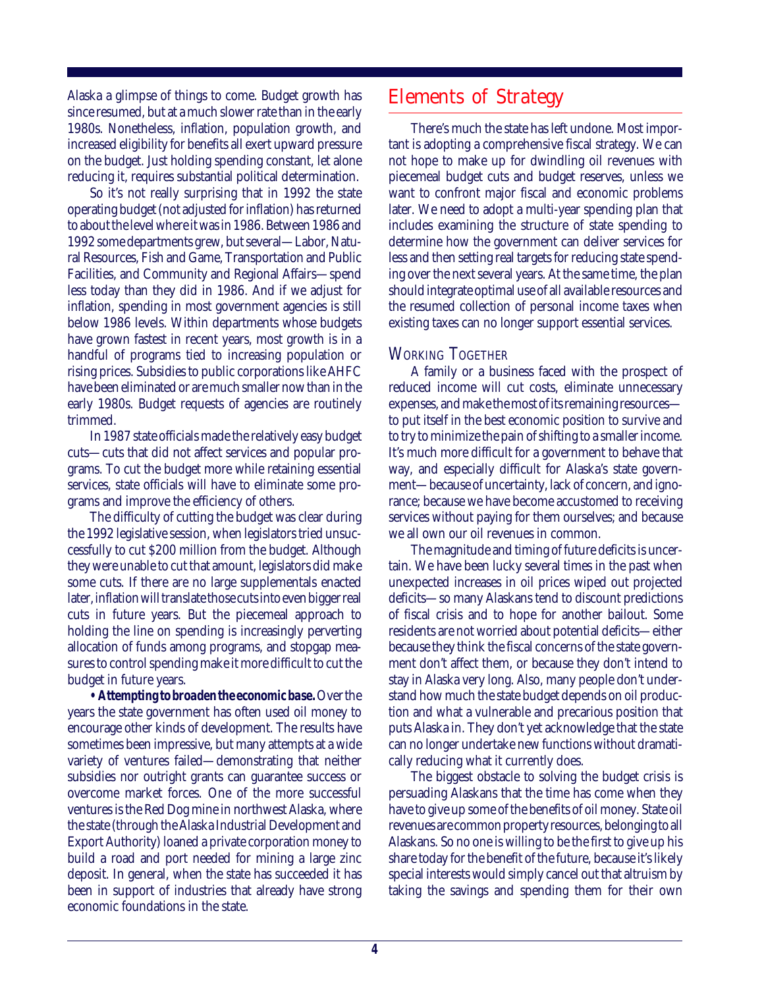Alaska a glimpse of things to come. Budget growth has since resumed, but at a much slower rate than in the early 1980s. Nonetheless, inflation, population growth, and increased eligibility for benefits all exert upward pressure on the budget. Just holding spending constant, let alone reducing it, requires substantial political determination.

So it's not really surprising that in 1992 the state operating budget (not adjusted for inflation) has returned to about the level where it was in 1986. Between 1986 and 1992 some departments grew, but several—Labor, Natural Resources, Fish and Game, Transportation and Public Facilities, and Community and Regional Affairs—spend less today than they did in 1986. And if we adjust for inflation, spending in most government agencies is still below 1986 levels. Within departments whose budgets have grown fastest in recent years, most growth is in a handful of programs tied to increasing population or rising prices. Subsidies to public corporations like AHFC have been eliminated or are much smaller now than in the early 1980s. Budget requests of agencies are routinely trimmed.

In 1987 state officials made the relatively easy budget cuts—cuts that did not affect services and popular programs. To cut the budget more while retaining essential services, state officials will have to eliminate some programs and improve the efficiency of others.

The difficulty of cutting the budget was clear during the 1992 legislative session, when legislators tried unsuccessfully to cut \$200 million from the budget. Although they were unable to cut that amount, legislators did make some cuts. If there are no large supplementals enacted later, inflation will translate those cuts into even bigger real cuts in future years. But the piecemeal approach to holding the line on spending is increasingly perverting allocation of funds among programs, and stopgap measures to control spending make it more difficult to cut the budget in future years.

*• Attempting to broaden the economic base.* Over the years the state government has often used oil money to encourage other kinds of development. The results have sometimes been impressive, but many attempts at a wide variety of ventures failed—demonstrating that neither subsidies nor outright grants can guarantee success or overcome market forces. One of the more successful ventures is the Red Dog mine in northwest Alaska, where the state (through the Alaska Industrial Development and Export Authority) loaned a private corporation money to build a road and port needed for mining a large zinc deposit. In general, when the state has succeeded it has been in support of industries that already have strong economic foundations in the state.

### Elements of Strategy

There's much the state has left undone. Most important is adopting a comprehensive fiscal strategy. We can not hope to make up for dwindling oil revenues with piecemeal budget cuts and budget reserves, unless we want to confront major fiscal and economic problems later. We need to adopt a multi-year spending plan that includes examining the structure of state spending to determine how the government can deliver services for less and then setting real targets for reducing state spending over the next several years. At the same time, the plan should integrate optimal use of all available resources and the resumed collection of personal income taxes when existing taxes can no longer support essential services.

#### WORKING TOGETHER

A family or a business faced with the prospect of reduced income will cut costs, eliminate unnecessary expenses, and make the most of its remaining resources to put itself in the best economic position to survive and to try to minimize the pain of shifting to a smaller income. It's much more difficult for a government to behave that way, and especially difficult for Alaska's state government—because of uncertainty, lack of concern, and ignorance; because we have become accustomed to receiving services without paying for them ourselves; and because we all own our oil revenues in common.

The magnitude and timing of future deficits is uncertain. We have been lucky several times in the past when unexpected increases in oil prices wiped out projected deficits—so many Alaskans tend to discount predictions of fiscal crisis and to hope for another bailout. Some residents are not worried about potential deficits—either because they think the fiscal concerns of the state government don't affect them, or because they don't intend to stay in Alaska very long. Also, many people don't understand how much the state budget depends on oil production and what a vulnerable and precarious position that puts Alaska in. They don't yet acknowledge that the state can no longer undertake new functions without dramatically reducing what it currently does.

The biggest obstacle to solving the budget crisis is persuading Alaskans that the time has come when they have to give up some of the benefits of oil money. State oil revenues are common property resources, belonging to all Alaskans. So no one is willing to be the first to give up his share today for the benefit of the future, because it's likely special interests would simply cancel out that altruism by taking the savings and spending them for their own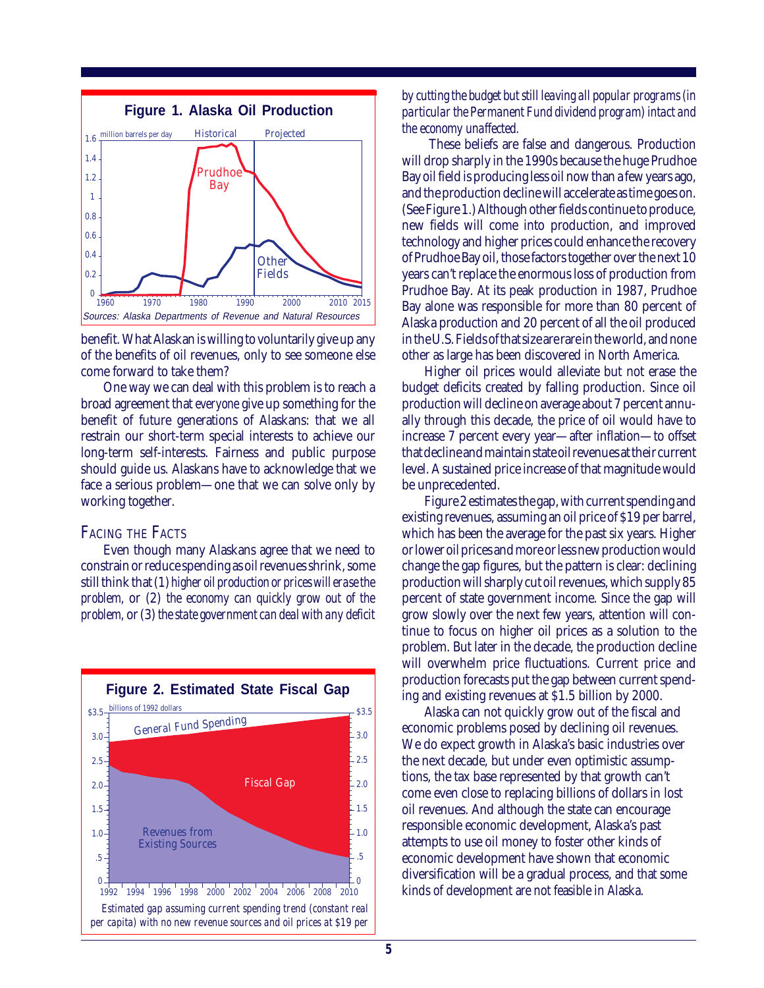

benefit. What Alaskan is willing to voluntarily give up any of the benefits of oil revenues, only to see someone else come forward to take them?

One way we can deal with this problem is to reach a broad agreement that *everyone* give up something for the benefit of future generations of Alaskans: that we all restrain our short-term special interests to achieve our long-term self-interests. Fairness and public purpose should guide us. Alaskans have to acknowledge that we face a serious problem—one that we can solve only by working together.

#### FACING THE FACTS

Even though many Alaskans agree that we need to constrain or reduce spending as oil revenues shrink, some still think that (1) *higher oil production or prices will erase the problem,* or (2) *the economy can quickly grow out of the problem,* or (3) *the state government can deal with any deficit*



*by cutting the budget but still leaving all popular programs (in particular the Permanent Fund dividend program) intact and the economy unaffected.*

 These beliefs are false and dangerous. Production will drop sharply in the 1990s because the huge Prudhoe Bay oil field is producing less oil now than a few years ago, and the production decline will accelerate as time goes on. (See Figure 1.) Although other fields continue to produce, new fields will come into production, and improved technology and higher prices could enhance the recovery of Prudhoe Bay oil, those factors together over the next 10 years can't replace the enormous loss of production from Prudhoe Bay. At its peak production in 1987, Prudhoe Bay alone was responsible for more than 80 percent of Alaska production and 20 percent of all the oil produced in the U.S. Fields of that size are rare in the world, and none other as large has been discovered in North America.

Higher oil prices would alleviate but not erase the budget deficits created by falling production. Since oil production will decline on average about 7 percent annually through this decade, the price of oil would have to increase 7 percent every year—after inflation—to offset that decline and maintain state oil revenues at their current level. A sustained price increase of that magnitude would be unprecedented.

Figure 2 estimates the gap, with current spending and existing revenues, assuming an oil price of \$19 per barrel, which has been the average for the past six years. Higher or lower oil prices and more or less new production would change the gap figures, but the pattern is clear: declining production will sharply cut oil revenues, which supply 85 percent of state government income. Since the gap will grow slowly over the next few years, attention will continue to focus on higher oil prices as a solution to the problem. But later in the decade, the production decline will overwhelm price fluctuations. Current price and production forecasts put the gap between current spending and existing revenues at \$1.5 billion by 2000.

Alaska can not quickly grow out of the fiscal and economic problems posed by declining oil revenues. We do expect growth in Alaska's basic industries over the next decade, but under even optimistic assumptions, the tax base represented by that growth can't come even close to replacing billions of dollars in lost oil revenues. And although the state can encourage responsible economic development, Alaska's past attempts to use oil money to foster other kinds of economic development have shown that economic diversification will be a gradual process, and that some kinds of development are not feasible in Alaska.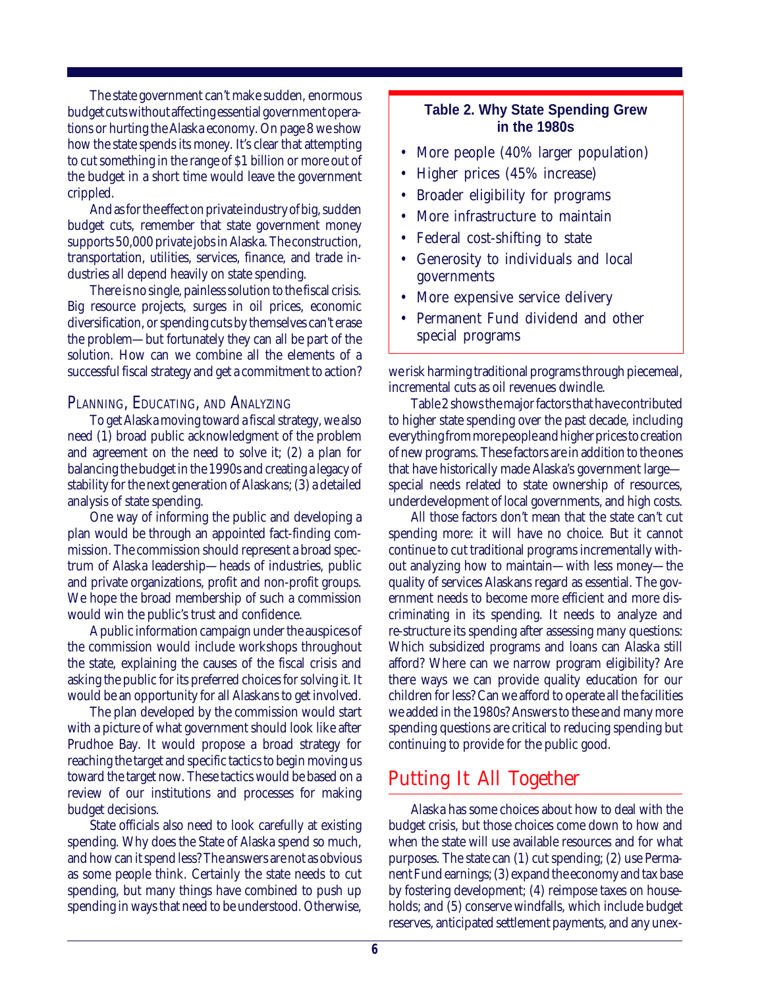The state government can't make sudden, enormous budget cuts without affecting essential government operations or hurting the Alaska economy. On page 8 we show how the state spends its money. It's clear that attempting to cut something in the range of \$1 billion or more out of the budget in a short time would leave the government crippled.

And as for the effect on private industry of big, sudden budget cuts, remember that state government money supports 50,000 private jobs in Alaska. The construction, transportation, utilities, services, finance, and trade industries all depend heavily on state spending.

There is no single, painless solution to the fiscal crisis. Big resource projects, surges in oil prices, economic diversification, or spending cuts by themselves can't erase the problem—but fortunately they can all be part of the solution. How can we combine all the elements of a successful fiscal strategy and get a commitment to action?

#### PLANNING, EDUCATING, AND ANALYZING

To get Alaska moving toward a fiscal strategy, we also need (1) broad public acknowledgment of the problem and agreement on the need to solve it; (2) a plan for balancing the budget in the 1990s and creating a legacy of stability for the next generation of Alaskans; (3) a detailed analysis of state spending.

One way of informing the public and developing a plan would be through an appointed fact-finding commission. The commission should represent a broad spectrum of Alaska leadership—heads of industries, public and private organizations, profit and non-profit groups. We hope the broad membership of such a commission would win the public's trust and confidence.

A public information campaign under the auspices of the commission would include workshops throughout the state, explaining the causes of the fiscal crisis and asking the public for its preferred choices for solving it. It would be an opportunity for all Alaskans to get involved.

The plan developed by the commission would start with a picture of what government should look like after Prudhoe Bay. It would propose a broad strategy for reaching the target and specific tactics to begin moving us toward the target now. These tactics would be based on a review of our institutions and processes for making budget decisions.

State officials also need to look carefully at existing spending. Why does the State of Alaska spend so much, and how can it spend less? The answers are not as obvious as some people think. Certainly the state needs to cut spending, but many things have combined to push up spending in ways that need to be understood. Otherwise,

#### **Table 2. Why State Spending Grew in the 1980s**

- More people (40% larger population)
- Higher prices (45% increase)
- Broader eligibility for programs
- More infrastructure to maintain
- Federal cost-shifting to state
- Generosity to individuals and local governments
- More expensive service delivery
- Permanent Fund dividend and other special programs

we risk harming traditional programs through piecemeal, incremental cuts as oil revenues dwindle.

Table 2 shows the major factors that have contributed to higher state spending over the past decade, including everything from more people and higher prices to creation of new programs. These factors are in addition to the ones that have historically made Alaska's government large special needs related to state ownership of resources, underdevelopment of local governments, and high costs.

All those factors don't mean that the state can't cut spending more: it will have no choice. But it cannot continue to cut traditional programs incrementally without analyzing how to maintain—with less money—the quality of services Alaskans regard as essential. The government needs to become more efficient and more discriminating in its spending. It needs to analyze and re-structure its spending after assessing many questions: Which subsidized programs and loans can Alaska still afford? Where can we narrow program eligibility? Are there ways we can provide quality education for our children for less? Can we afford to operate all the facilities we added in the 1980s? Answers to these and many more spending questions are critical to reducing spending but continuing to provide for the public good.

### Putting It All Together

Alaska has some choices about how to deal with the budget crisis, but those choices come down to how and when the state will use available resources and for what purposes. The state can (1) cut spending; (2) use Permanent Fund earnings; (3) expand the economy and tax base by fostering development; (4) reimpose taxes on households; and (5) conserve windfalls, which include budget reserves, anticipated settlement payments, and any unex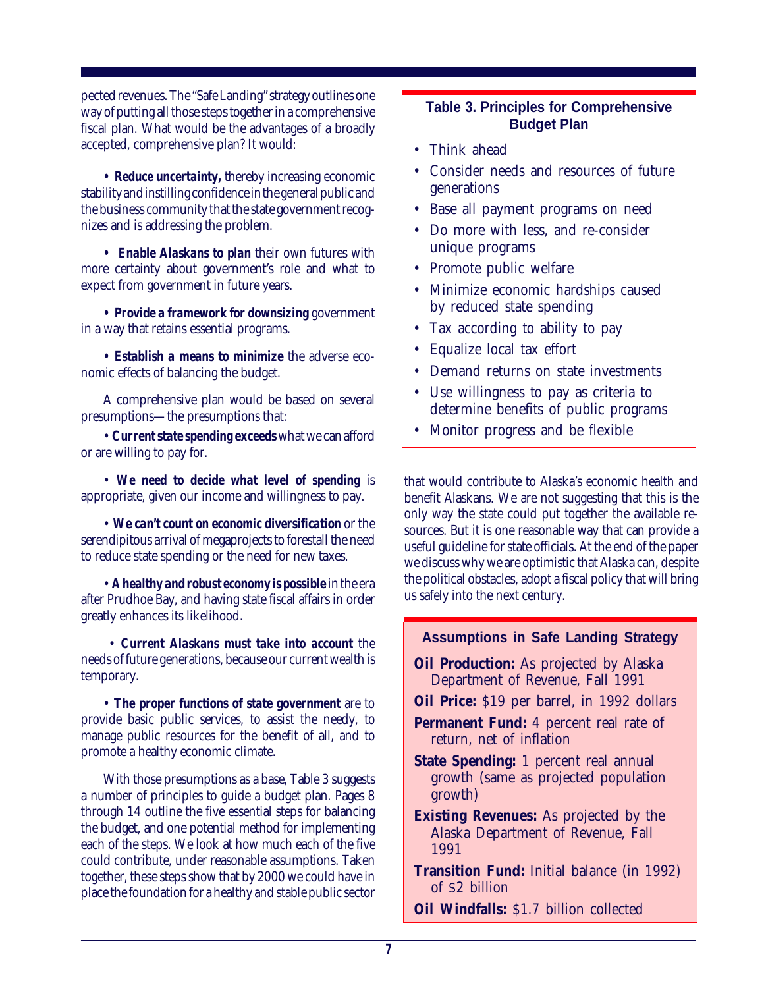pected revenues. The "Safe Landing" strategy outlines one way of putting all those steps together in a comprehensive fiscal plan. What would be the advantages of a broadly accepted, comprehensive plan? It would:

*• Reduce uncertainty,* thereby increasing economic stability and instilling confidence in the general public and the business community that the state government recognizes and is addressing the problem.

*• Enable Alaskans to plan* their own futures with more certainty about government's role and what to expect from government in future years.

*• Provide a framework for downsizing* government in a way that retains essential programs.

*• Establish a means to minimize* the adverse economic effects of balancing the budget.

A comprehensive plan would be based on several presumptions—the presumptions that:

• *Current state spending exceeds* what we can afford or are willing to pay for.

• *We need to decide what level of spending* is appropriate, given our income and willingness to pay.

• *We can't count on economic diversification* or the serendipitous arrival of megaprojects to forestall the need to reduce state spending or the need for new taxes.

• *A healthy and robust economy is possible* in the era after Prudhoe Bay, and having state fiscal affairs in order greatly enhances its likelihood.

 • *Current Alaskans must take into account* the needs of future generations, because our current wealth is temporary.

• *The proper functions of state government* are to provide basic public services, to assist the needy, to manage public resources for the benefit of all, and to promote a healthy economic climate.

With those presumptions as a base, Table 3 suggests a number of principles to guide a budget plan. Pages 8 through 14 outline the five essential steps for balancing the budget, and one potential method for implementing each of the steps. We look at how much each of the five could contribute, under reasonable assumptions. Taken together, these steps show that by 2000 we could have in place the foundation for a healthy and stable public sector

#### **Table 3. Principles for Comprehensive Budget Plan**

- Think ahead
- Consider needs and resources of future generations
- Base all payment programs on need
- Do more with less, and re-consider unique programs
- Promote public welfare
- Minimize economic hardships caused by reduced state spending
- Tax according to ability to pay
- Equalize local tax effort
- Demand returns on state investments
- Use willingness to pay as criteria to determine benefits of public programs
- Monitor progress and be flexible

that would contribute to Alaska's economic health and benefit Alaskans. We are not suggesting that this is the only way the state could put together the available resources. But it is one reasonable way that can provide a useful guideline for state officials. At the end of the paper we discuss why we are optimistic that Alaska can, despite the political obstacles, adopt a fiscal policy that will bring us safely into the next century.

#### **Assumptions in Safe Landing Strategy**

- **Oil Production:** As projected by Alaska Department of Revenue, Fall 1991
- **Oil Price:** \$19 per barrel, in 1992 dollars
- **Permanent Fund:** 4 percent real rate of return, net of inflation
- **State Spending:** 1 percent real annual growth (same as projected population growth)
- **Existing Revenues:** As projected by the Alaska Department of Revenue, Fall 1991
- **Transition Fund:** Initial balance (in 1992) of \$2 billion
- **Oil Windfalls:** \$1.7 billion collected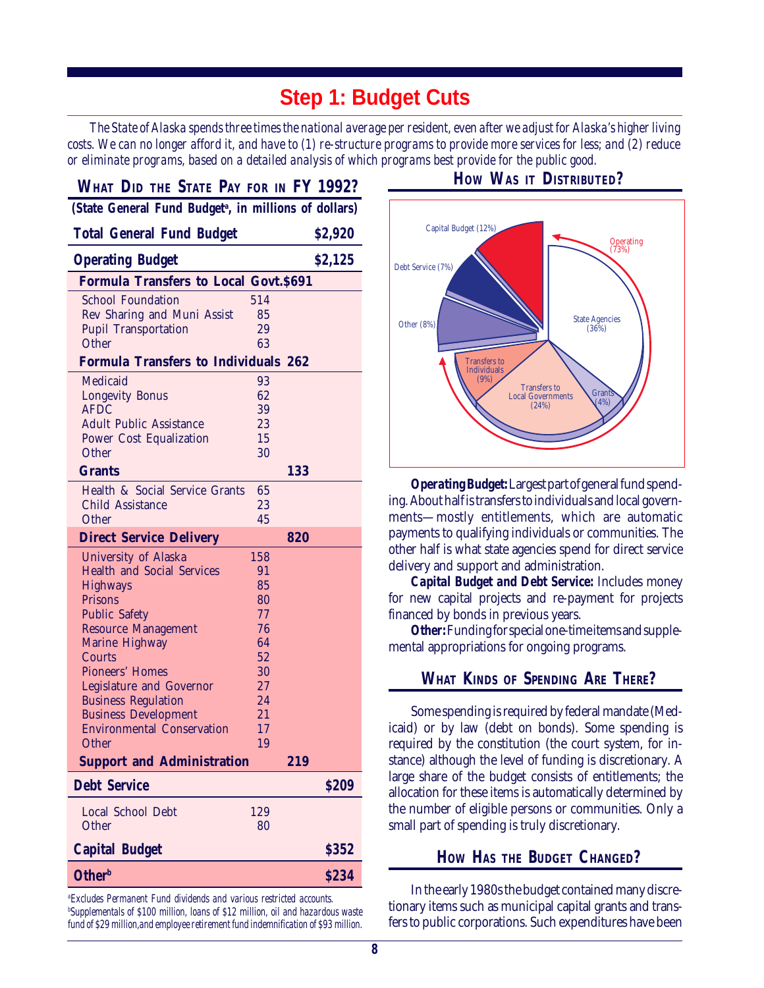# **Step 1: Budget Cuts**

*The State of Alaska spends three times the national average per resident, even after we adjust for Alaska's higher living costs. We can no longer afford it, and have to (1) re-structure programs to provide more services for less; and (2) reduce or eliminate programs, based on a detailed analysis of which programs best provide for the public good.*

| WHAT DID THE STATE PAY FOR IN FY 1992?                            |          |     |         |  |
|-------------------------------------------------------------------|----------|-----|---------|--|
| (State General Fund Budget <sup>a</sup> , in millions of dollars) |          |     |         |  |
| <b>Total General Fund Budget</b>                                  |          |     | \$2,920 |  |
| <b>Operating Budget</b>                                           |          |     | \$2,125 |  |
| <b>Formula Transfers to Local Govt. \$691</b>                     |          |     |         |  |
| <b>School Foundation</b>                                          | 514      |     |         |  |
| Rev Sharing and Muni Assist                                       | 85       |     |         |  |
| Pupil Transportation<br>Other                                     | 29<br>63 |     |         |  |
|                                                                   |          |     |         |  |
| <b>Formula Transfers to Individuals 262</b>                       |          |     |         |  |
| Medicaid                                                          | 93       |     |         |  |
| Longevity Bonus<br><b>AFDC</b>                                    | 62<br>39 |     |         |  |
| <b>Adult Public Assistance</b>                                    | 23       |     |         |  |
| Power Cost Equalization                                           | 15       |     |         |  |
| Other                                                             | 30       |     |         |  |
| <b>Grants</b>                                                     |          | 133 |         |  |
| Health & Social Service Grants                                    | 65       |     |         |  |
| Child Assistance                                                  | 23       |     |         |  |
| Other                                                             | 45       |     |         |  |
| <b>Direct Service Delivery</b>                                    |          | 820 |         |  |
| University of Alaska                                              | 158      |     |         |  |
| <b>Health and Social Services</b>                                 | 91       |     |         |  |
| <b>Highways</b>                                                   | 85       |     |         |  |
| Prisons                                                           | 80       |     |         |  |
| <b>Public Safety</b>                                              | 77       |     |         |  |
| <b>Resource Management</b>                                        | 76<br>64 |     |         |  |
| Marine Highway<br>Courts                                          | 52       |     |         |  |
| Pioneers' Homes                                                   | 30       |     |         |  |
| Legislature and Governor                                          | 27       |     |         |  |
| <b>Business Regulation</b>                                        | 24       |     |         |  |
| <b>Business Development</b>                                       | 21       |     |         |  |
| <b>Environmental Conservation</b>                                 | 17       |     |         |  |
| Other                                                             | 19       |     |         |  |
| <b>Support and Administration</b>                                 |          | 219 |         |  |
| <b>Debt Service</b>                                               |          |     | \$209   |  |
| Local School Debt                                                 | 129      |     |         |  |
| Other                                                             | 80       |     |         |  |
| <b>Capital Budget</b>                                             |          |     | \$352   |  |
| <b>Other</b> <sup>b</sup>                                         |          |     | \$234   |  |

*a Excludes Permanent Fund dividends and various restricted accounts. b Supplementals of \$100 million, loans of \$12 million, oil and hazardous waste fund of \$29 million,and employee retirement fund indemnification of \$93 million.*

#### **HOW WAS IT DISTRIBUTED?**



*Operating Budget:* Largest part of general fund spending. About half is transfers to individuals and local governments—mostly entitlements, which are automatic payments to qualifying individuals or communities. The other half is what state agencies spend for direct service delivery and support and administration.

*Capital Budget and Debt Service:* Includes money for new capital projects and re-payment for projects financed by bonds in previous years.

*Other:* Funding for special one-time items and supplemental appropriations for ongoing programs.

#### **WHAT KINDS OF SPENDING ARE THERE?**

Some spending is required by federal mandate (Medicaid) or by law (debt on bonds). Some spending is required by the constitution (the court system, for instance) although the level of funding is discretionary. A large share of the budget consists of entitlements; the allocation for these items is automatically determined by the number of eligible persons or communities. Only a small part of spending is truly discretionary.

#### **HOW HAS THE BUDGET CHANGED?**

In the early 1980s the budget contained many discretionary items such as municipal capital grants and transfers to public corporations. Such expenditures have been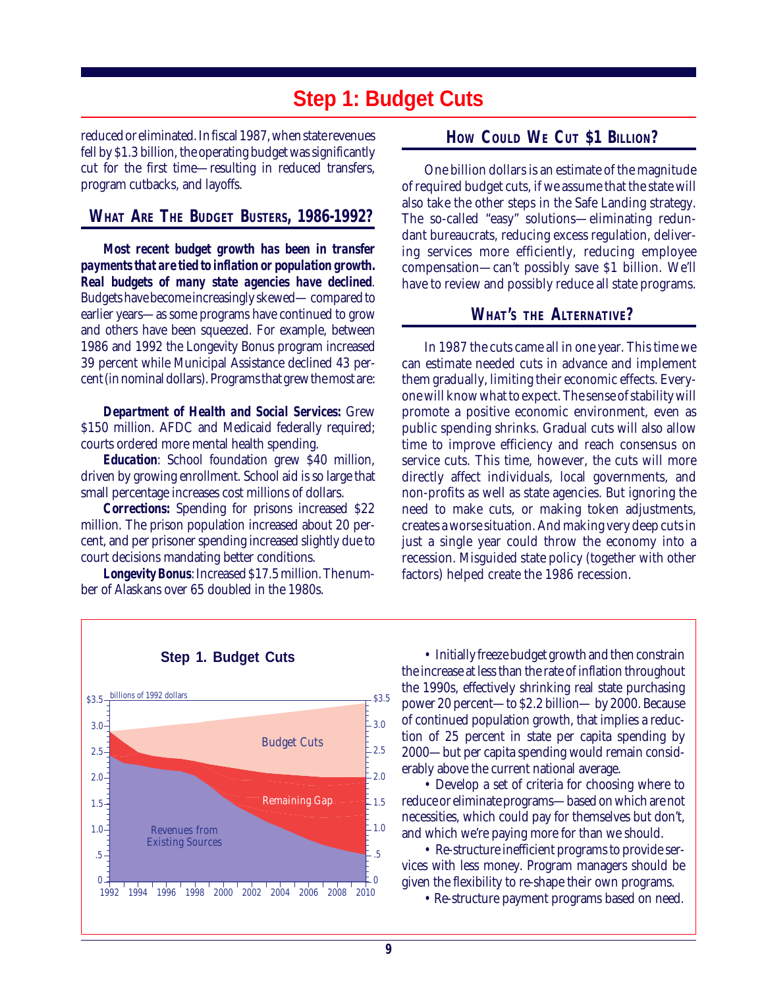### **Step 1: Budget Cuts**

reduced or eliminated. In fiscal 1987, when state revenues fell by \$1.3 billion, the operating budget was significantly cut for the first time—resulting in reduced transfers, program cutbacks, and layoffs.

#### **WHAT ARE THE BUDGET BUSTERS, 1986-1992?**

*Most recent budget growth has been in transfer payments that are tied to inflation or population growth. Real budgets of many state agencies have declined*. Budgets have become increasingly skewed— compared to earlier years—as some programs have continued to grow and others have been squeezed. For example, between 1986 and 1992 the Longevity Bonus program increased 39 percent while Municipal Assistance declined 43 percent (in nominal dollars). Programs that grew the most are:

*Department of Health and Social Services:* Grew \$150 million. AFDC and Medicaid federally required; courts ordered more mental health spending.

*Education*: School foundation grew \$40 million, driven by growing enrollment. School aid is so large that small percentage increases cost millions of dollars.

*Corrections:* Spending for prisons increased \$22 million. The prison population increased about 20 percent, and per prisoner spending increased slightly due to court decisions mandating better conditions.

*Longevity Bonus*: Increased \$17.5 million. The number of Alaskans over 65 doubled in the 1980s.

#### **HOW COULD WE CUT \$1 BILLION?**

One billion dollars is an estimate of the magnitude of required budget cuts, if we assume that the state will also take the other steps in the Safe Landing strategy. The so-called "easy" solutions—eliminating redundant bureaucrats, reducing excess regulation, delivering services more efficiently, reducing employee compensation—can't possibly save \$1 billion. We'll have to review and possibly reduce all state programs.

#### **WHAT'S THE ALTERNATIVE?**

In 1987 the cuts came all in one year. This time we can estimate needed cuts in advance and implement them gradually, limiting their economic effects. Everyone will know what to expect. The sense of stability will promote a positive economic environment, even as public spending shrinks. Gradual cuts will also allow time to improve efficiency and reach consensus on service cuts. This time, however, the cuts will more directly affect individuals, local governments, and non-profits as well as state agencies. But ignoring the need to make cuts, or making token adjustments, creates a worse situation. And making very deep cuts in just a single year could throw the economy into a recession. Misguided state policy (together with other factors) helped create the 1986 recession.



• Initially freeze budget growth and then constrain the increase at less than the rate of inflation throughout the 1990s, effectively shrinking real state purchasing power 20 percent—to \$2.2 billion— by 2000. Because of continued population growth, that implies a reduction of 25 percent in state per capita spending by 2000—but per capita spending would remain considerably above the current national average.

• Develop a set of criteria for choosing where to reduce or eliminate programs—based on which are not necessities, which could pay for themselves but don't, and which we're paying more for than we should.

• Re-structure inefficient programs to provide services with less money. Program managers should be given the flexibility to re-shape their own programs.

• Re-structure payment programs based on need.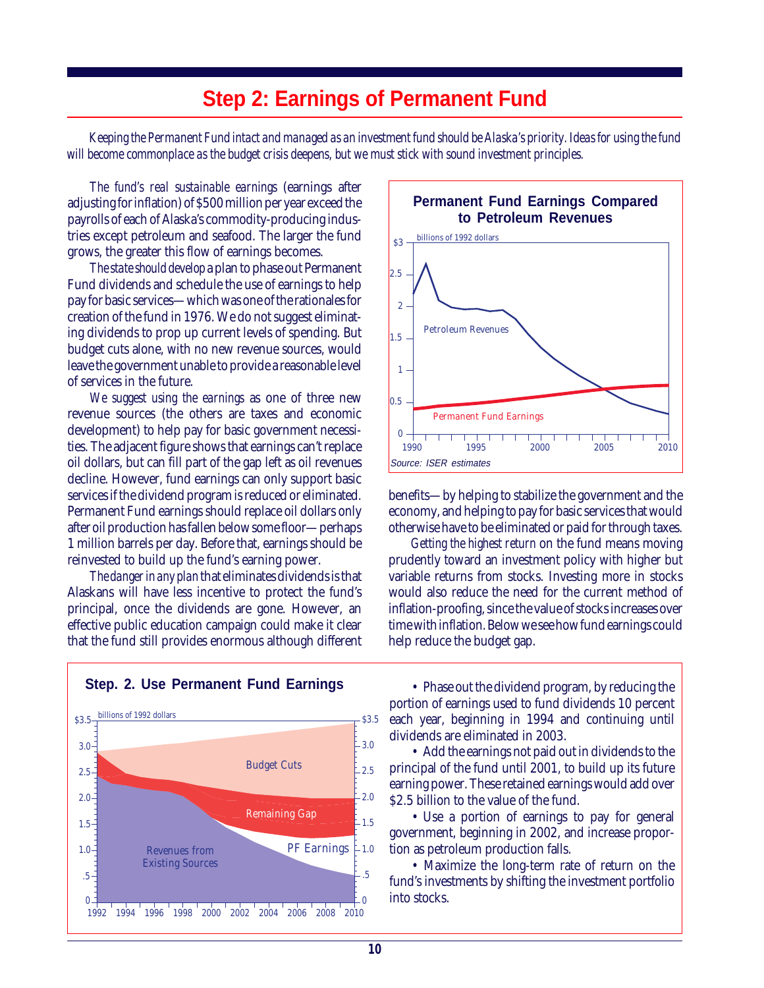# **Step 2: Earnings of Permanent Fund**

*Keeping the Permanent Fund intact and managed as an investment fund should be Alaska's priority. Ideas for using the fund will become commonplace as the budget crisis deepens, but we must stick with sound investment principles.*

*The fund's real sustainable earnings* (earnings after adjusting for inflation) of \$500 million per year exceed the payrolls of each of Alaska's commodity-producing industries except petroleum and seafood. The larger the fund grows, the greater this flow of earnings becomes.

*The state should develop* a plan to phase out Permanent Fund dividends and schedule the use of earnings to help pay for basic services—which was one of the rationales for creation of the fund in 1976. We do not suggest eliminating dividends to prop up current levels of spending. But budget cuts alone, with no new revenue sources, would leave the government unable to provide a reasonable level of services in the future.

*We suggest using the earnings* as one of three new revenue sources (the others are taxes and economic development) to help pay for basic government necessities. The adjacent figure shows that earnings can't replace oil dollars, but can fill part of the gap left as oil revenues decline. However, fund earnings can only support basic services if the dividend program is reduced or eliminated. Permanent Fund earnings should replace oil dollars only after oil production has fallen below some floor—perhaps 1 million barrels per day. Before that, earnings should be reinvested to build up the fund's earning power.

*The danger in any plan* that eliminates dividends is that Alaskans will have less incentive to protect the fund's principal, once the dividends are gone. However, an effective public education campaign could make it clear that the fund still provides enormous although different



benefits—by helping to stabilize the government and the economy, and helping to pay for basic services that would otherwise have to be eliminated or paid for through taxes.

*Getting the highest return* on the fund means moving prudently toward an investment policy with higher but variable returns from stocks. Investing more in stocks would also reduce the need for the current method of inflation-proofing, since the value of stocks increases over time with inflation. Below we see how fund earnings could help reduce the budget gap.



**Step. 2. Use Permanent Fund Earnings**

• Phase out the dividend program, by reducing the portion of earnings used to fund dividends 10 percent each year, beginning in 1994 and continuing until dividends are eliminated in 2003.

• Add the earnings not paid out in dividends to the principal of the fund until 2001, to build up its future earning power. These retained earnings would add over \$2.5 billion to the value of the fund.

• Use a portion of earnings to pay for general government, beginning in 2002, and increase proportion as petroleum production falls.

• Maximize the long-term rate of return on the fund's investments by shifting the investment portfolio into stocks.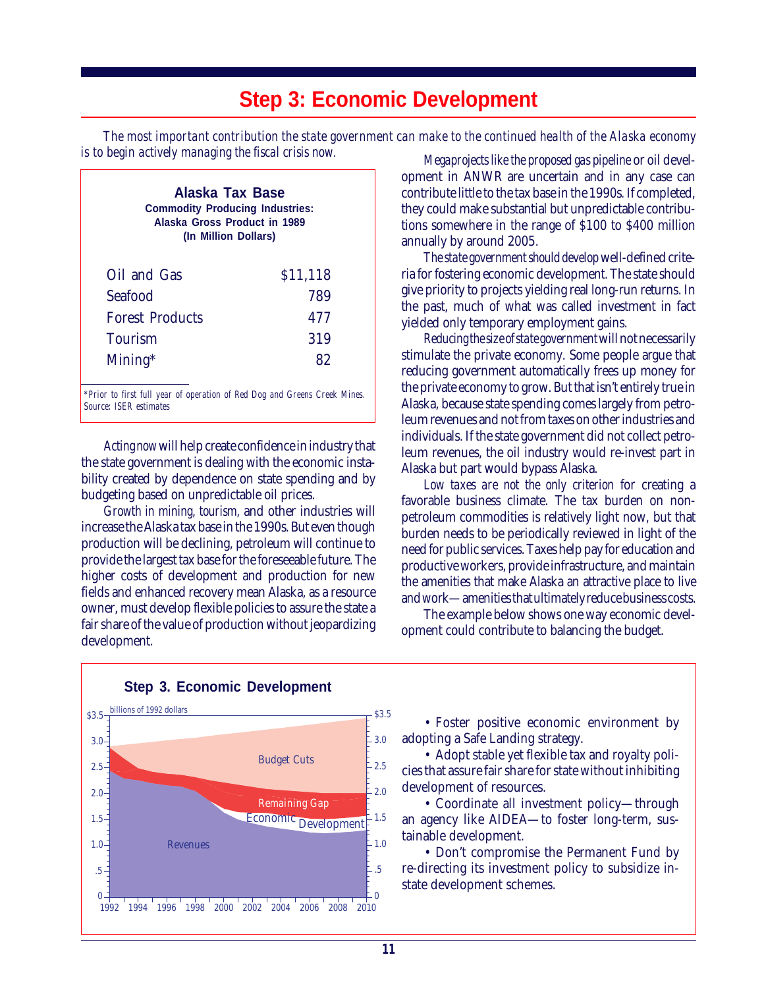# **Step 3: Economic Development**

*The most important contribution the state government can make to the continued health of the Alaska economy is to begin actively managing the fiscal crisis now. Megaprojects like the proposed gas pipeline* or oil devel-

| Alaska Tax Base<br><b>Commodity Producing Industries:</b><br>Alaska Gross Product in 1989<br>(In Million Dollars) |          |  |  |
|-------------------------------------------------------------------------------------------------------------------|----------|--|--|
| Oil and Gas                                                                                                       | \$11,118 |  |  |
| Seafood                                                                                                           | 789      |  |  |
| <b>Forest Products</b>                                                                                            | 477      |  |  |
| Tourism                                                                                                           | 319      |  |  |
| $Mining*$                                                                                                         | 82       |  |  |

*\*Prior to first full year of operation of Red Dog and Greens Creek Mines. Source: ISER estimates*

*Acting now* will help create confidence in industry that the state government is dealing with the economic instability created by dependence on state spending and by budgeting based on unpredictable oil prices.

*Growth in mining, tourism,* and other industries will increase the Alaska tax base in the 1990s*.* But even though production will be declining, petroleum will continue to provide the largest tax base for the foreseeable future. The higher costs of development and production for new fields and enhanced recovery mean Alaska, as a resource owner, must develop flexible policies to assure the state a fair share of the value of production without jeopardizing development.

opment in ANWR are uncertain and in any case can contribute little to the tax base in the 1990s*.* If completed, they could make substantial but unpredictable contributions somewhere in the range of \$100 to \$400 million annually by around 2005.

*The state government should develop* well-defined criteria for fostering economic developmen*t.* The state should give priority to projects yielding real long-run returns. In the past, much of what was called investment in fact yielded only temporary employment gains.

*Reducing the size of state government* will not necessarily stimulate the private economy. Some people argue that reducing government automatically frees up money for the private economy to grow. But that isn't entirely true in Alaska, because state spending comes largely from petroleum revenues and not from taxes on other industries and individuals. If the state government did not collect petroleum revenues, the oil industry would re-invest part in Alaska but part would bypass Alaska.

*Low taxes are not the only criterion* for creating a favorable business climate. The tax burden on nonpetroleum commodities is relatively light now, but that burden needs to be periodically reviewed in light of the need for public services. Taxes help pay for education and productive workers, provide infrastructure, and maintain the amenities that make Alaska an attractive place to live and work—amenities that ultimately reduce business costs.

The example below shows one way economic development could contribute to balancing the budget.



• Foster positive economic environment by adopting a Safe Landing strategy. \$3.5

• Adopt stable yet flexible tax and royalty policies that assure fair share for state without inhibiting development of resources.

• Coordinate all investment policy—through an agency like AIDEA—to foster long-term, sustainable development.

• Don't compromise the Permanent Fund by re-directing its investment policy to subsidize instate development schemes.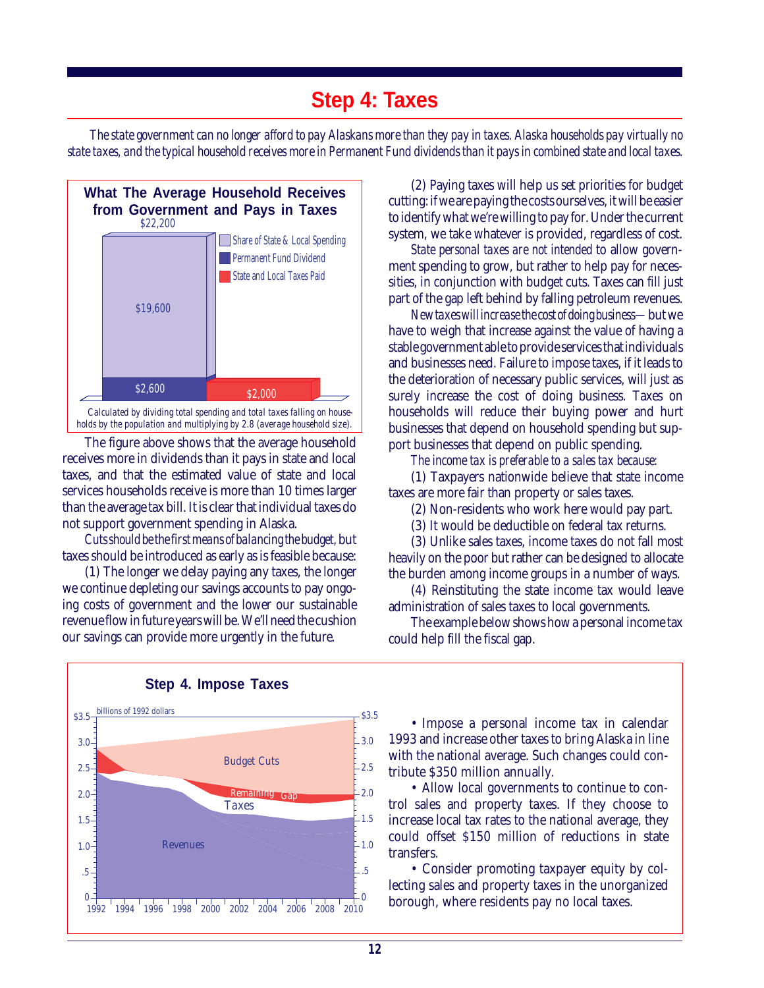# **Step 4: Taxes**

*The state government can no longer afford to pay Alaskans more than they pay in taxes. Alaska households pay virtually no state taxes, and the typical household receives more in Permanent Fund dividends than it pays in combined state and local taxes.*



The figure above shows that the average household receives more in dividends than it pays in state and local taxes, and that the estimated value of state and local services households receive is more than 10 times larger than the average tax bill. It is clear that individual taxes do not support government spending in Alaska.

*Cuts should be the first means of balancing the budget,* but taxes should be introduced as early as is feasible because:

(1) The longer we delay paying any taxes, the longer we continue depleting our savings accounts to pay ongoing costs of government and the lower our sustainable revenue flow in future years will be. We'll need the cushion our savings can provide more urgently in the future.

(2) Paying taxes will help us set priorities for budget cutting: if we are paying the costs ourselves, it will be easier to identify what we're willing to pay for. Under the current system, we take whatever is provided, regardless of cost.

*State personal taxes are not intended* to allow government spending to grow, but rather to help pay for necessities, in conjunction with budget cuts. Taxes can fill just part of the gap left behind by falling petroleum revenues.

*New taxes will increase the cost of doing business—*but we have to weigh that increase against the value of having a stable government able to provide services that individuals and businesses need. Failure to impose taxes, if it leads to the deterioration of necessary public services, will just as surely increase the cost of doing business. Taxes on households will reduce their buying power and hurt businesses that depend on household spending but support businesses that depend on public spending.

*The income tax is preferable to a sales tax because:*

(1) Taxpayers nationwide believe that state income taxes are more fair than property or sales taxes.

- (2) Non-residents who work here would pay part.
- (3) It would be deductible on federal tax returns.

(3) Unlike sales taxes, income taxes do not fall most heavily on the poor but rather can be designed to allocate the burden among income groups in a number of ways.

(4) Reinstituting the state income tax would leave administration of sales taxes to local governments.

The example below shows how a personal income tax could help fill the fiscal gap.



#### **Step 4. Impose Taxes**

• Impose a personal income tax in calendar 1993 and increase other taxes to bring Alaska in line with the national average. Such changes could contribute \$350 million annually.

• Allow local governments to continue to control sales and property taxes. If they choose to increase local tax rates to the national average, they could offset \$150 million of reductions in state transfers.

• Consider promoting taxpayer equity by collecting sales and property taxes in the unorganized borough, where residents pay no local taxes.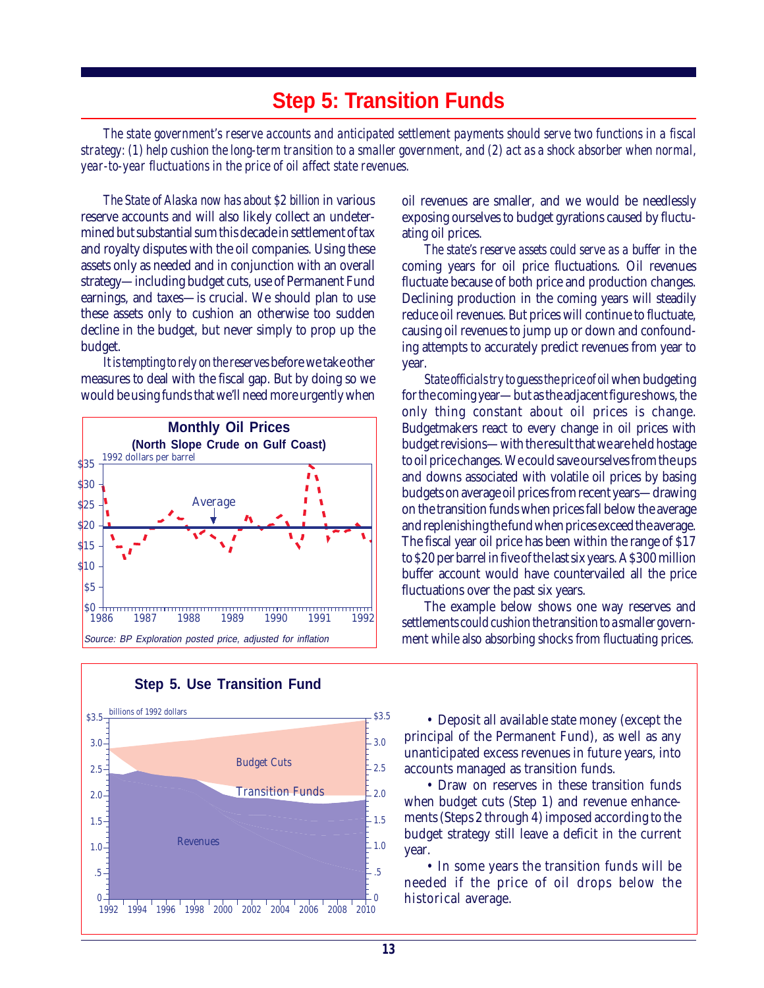# **Step 5: Transition Funds**

*The state government's reserve accounts and anticipated settlement payments should serve two functions in a fiscal strategy: (1) help cushion the long-term transition to a smaller government, and (2) act as a shock absorber when normal, year-to-year fluctuations in the price of oil affect state revenues.*

*The State of Alaska now has about \$2 billion* in various reserve accounts and will also likely collect an undetermined but substantial sum this decade in settlement of tax and royalty disputes with the oil companies. Using these assets only as needed and in conjunction with an overall strategy—including budget cuts, use of Permanent Fund earnings, and taxes—is crucial. We should plan to use these assets only to cushion an otherwise too sudden decline in the budget, but never simply to prop up the budget.

*It is tempting to rely on the reserves* before we take other measures to deal with the fiscal gap. But by doing so we would be using funds that we'll need more urgently when





#### **Step 5. Use Transition Fund**

oil revenues are smaller, and we would be needlessly exposing ourselves to budget gyrations caused by fluctuating oil prices.

*The state's reserve assets could serve as a buffer* in the coming years for oil price fluctuations. Oil revenues fluctuate because of both price and production changes. Declining production in the coming years will steadily reduce oil revenues. But prices will continue to fluctuate, causing oil revenues to jump up or down and confounding attempts to accurately predict revenues from year to year.

*State officials try to guess the price of oil* when budgeting for the coming year—but as the adjacent figure shows, the only thing constant about oil prices is change. Budgetmakers react to every change in oil prices with budget revisions—with the result that we are held hostage to oil price changes. We could save ourselves from the ups and downs associated with volatile oil prices by basing budgets on average oil prices from recent years—drawing on the transition funds when prices fall below the average and replenishing the fund when prices exceed the average. The fiscal year oil price has been within the range of \$17 to \$20 per barrel in five of the last six years. A \$300 million buffer account would have countervailed all the price fluctuations over the past six years.

The example below shows one way reserves and settlements could cushion the transition to a smaller government while also absorbing shocks from fluctuating prices.

• Deposit all available state money (except the principal of the Permanent Fund), as well as any unanticipated excess revenues in future years, into accounts managed as transition funds.

• Draw on reserves in these transition funds when budget cuts (Step 1) and revenue enhancements (Steps 2 through 4) imposed according to the budget strategy still leave a deficit in the current year.

• In some years the transition funds will be needed if the price of oil drops below the historical average.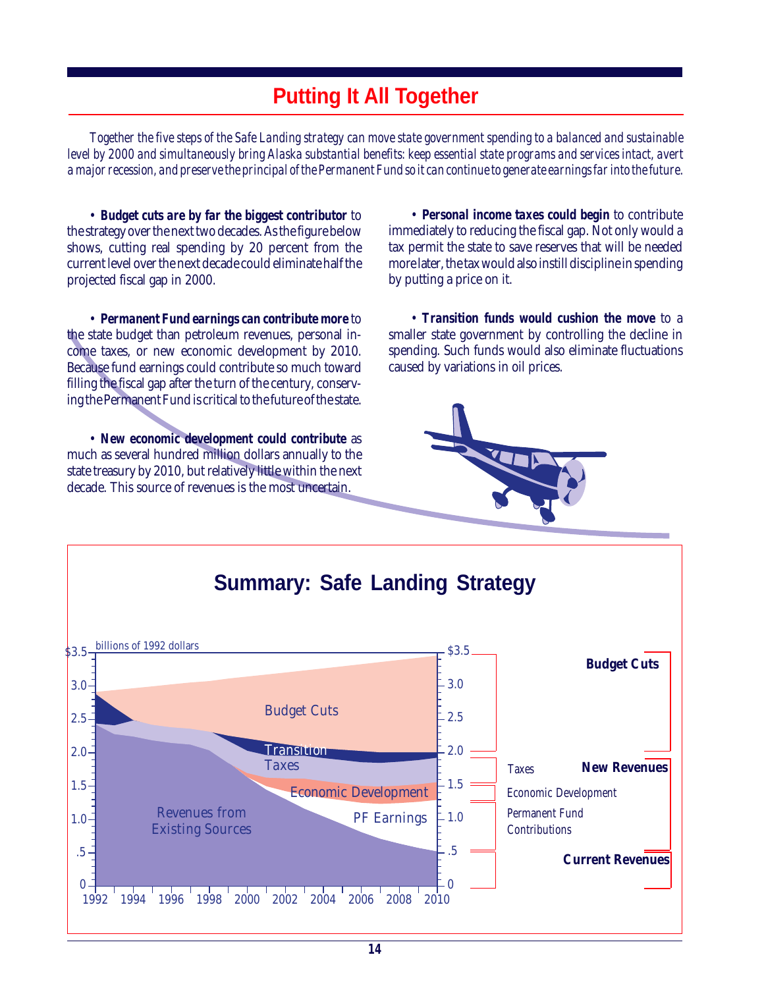# **Putting It All Together**

*Together the five steps of the Safe Landing strategy can move state government spending to a balanced and sustainable level by 2000 and simultaneously bring Alaska substantial benefits: keep essential state programs and services intact, avert a major recession, and preserve the principal of the Permanent Fund so it can continue to generate earnings far into the future.*

• *Budget cuts are by far the biggest contributor* to the strategy over the next two decades. As the figure below shows, cutting real spending by 20 percent from the current level over the next decade could eliminate half the projected fiscal gap in 2000.

• *Permanent Fund earnings can contribute more* to the state budget than petroleum revenues, personal income taxes, or new economic development by 2010. Because fund earnings could contribute so much toward filling the fiscal gap after the turn of the century, conserving the Permanent Fund is critical to the future of the state.

• *New economic development could contribute* as much as several hundred million dollars annually to the state treasury by 2010, but relatively little within the next decade. This source of revenues is the most uncertain.

• *Personal income taxes could begin* to contribute immediately to reducing the fiscal gap. Not only would a tax permit the state to save reserves that will be needed more later, the tax would also instill discipline in spending by putting a price on it.

• *Transition funds would cushion the move* to a smaller state government by controlling the decline in spending. Such funds would also eliminate fluctuations caused by variations in oil prices.



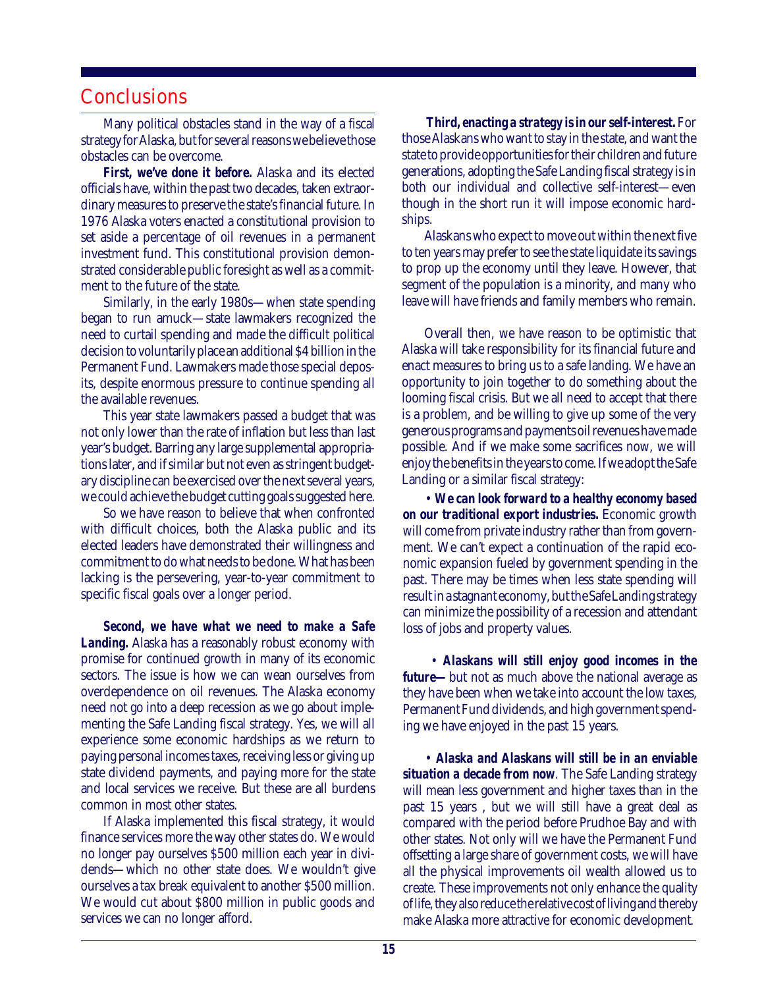### **Conclusions**

Many political obstacles stand in the way of a fiscal strategy for Alaska, but for several reasons we believe those obstacles can be overcome.

*First, we've done it before.* Alaska and its elected officials have, within the past two decades, taken extraordinary measures to preserve the state's financial future. In 1976 Alaska voters enacted a constitutional provision to set aside a percentage of oil revenues in a permanent investment fund. This constitutional provision demonstrated considerable public foresight as well as a commitment to the future of the state.

Similarly, in the early 1980s—when state spending began to run amuck—state lawmakers recognized the need to curtail spending and made the difficult political decision to voluntarily place an additional \$4 billion in the Permanent Fund. Lawmakers made those special deposits, despite enormous pressure to continue spending all the available revenues.

This year state lawmakers passed a budget that was not only lower than the rate of inflation but less than last year's budget. Barring any large supplemental appropriations later, and if similar but not even as stringent budgetary discipline can be exercised over the next several years, we could achieve the budget cutting goals suggested here.

So we have reason to believe that when confronted with difficult choices, both the Alaska public and its elected leaders have demonstrated their willingness and commitment to do what needs to be done. What has been lacking is the persevering, year-to-year commitment to specific fiscal goals over a longer period.

*Second, we have what we need to make a Safe Landing.* Alaska has a reasonably robust economy with promise for continued growth in many of its economic sectors. The issue is how we can wean ourselves from overdependence on oil revenues. The Alaska economy need not go into a deep recession as we go about implementing the Safe Landing fiscal strategy. Yes, we will all experience some economic hardships as we return to paying personal incomes taxes, receiving less or giving up state dividend payments, and paying more for the state and local services we receive. But these are all burdens common in most other states.

If Alaska implemented this fiscal strategy, it would finance services more the way other states do. We would no longer pay ourselves \$500 million each year in dividends—which no other state does. We wouldn't give ourselves a tax break equivalent to another \$500 million. We would cut about \$800 million in public goods and services we can no longer afford.

*Third, enacting a strategy is in our self-interest.* For those Alaskans who want to stay in the state, and want the state to provide opportunities for their children and future generations, adopting the Safe Landing fiscal strategy is in both our individual and collective self-interest—even though in the short run it will impose economic hardships.

Alaskans who expect to move out within the next five to ten years may prefer to see the state liquidate its savings to prop up the economy until they leave. However, that segment of the population is a minority, and many who leave will have friends and family members who remain.

Overall then, we have reason to be optimistic that Alaska will take responsibility for its financial future and enact measures to bring us to a safe landing. We have an opportunity to join together to do something about the looming fiscal crisis. But we all need to accept that there is a problem, and be willing to give up some of the very generous programs and payments oil revenues have made possible. And if we make some sacrifices now, we will enjoy the benefits in the years to come. If we adopt the Safe Landing or a similar fiscal strategy:

• *We can look forward to a healthy economy based on our traditional export industries.* Economic growth will come from private industry rather than from government. We can't expect a continuation of the rapid economic expansion fueled by government spending in the past. There may be times when less state spending will result in a stagnant economy, but the Safe Landing strategy can minimize the possibility of a recession and attendant loss of jobs and property values.

 • *Alaskans will still enjoy good incomes in the future—*but not as much above the national average as they have been when we take into account the low taxes, Permanent Fund dividends, and high government spending we have enjoyed in the past 15 years.

• *Alaska and Alaskans will still be in an enviable situation a decade from now*. The Safe Landing strategy will mean less government and higher taxes than in the past 15 years , but we will still have a great deal as compared with the period before Prudhoe Bay and with other states. Not only will we have the Permanent Fund offsetting a large share of government costs, we will have all the physical improvements oil wealth allowed us to create. These improvements not only enhance the quality of life, they also reduce the relative cost of living and thereby make Alaska more attractive for economic development.